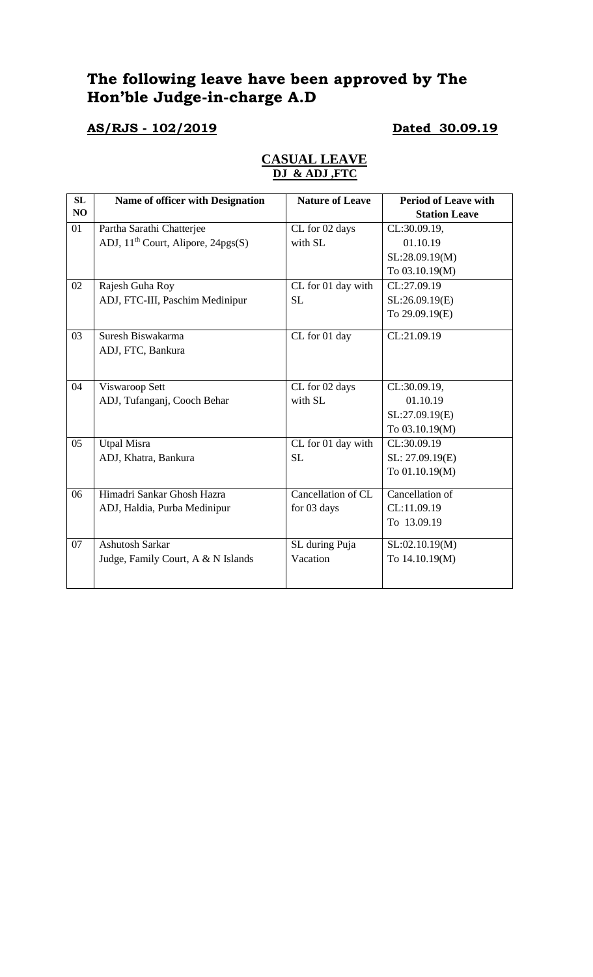# **The following leave have been approved by The Hon'ble Judge-in-charge A.D**

**AS/RJS - 102/2019 Dated 30.09.19**

| Name of officer with Designation          | <b>Nature of Leave</b> | <b>Period of Leave with</b> |
|-------------------------------------------|------------------------|-----------------------------|
|                                           |                        | <b>Station Leave</b>        |
| Partha Sarathi Chatterjee                 | CL for 02 days         | CL:30.09.19,                |
| ADJ, $11^{th}$ Court, Alipore, $24pgs(S)$ | with SL                | 01.10.19                    |
|                                           |                        | SL:28.09.19(M)              |
|                                           |                        | To 03.10.19(M)              |
| Rajesh Guha Roy                           | CL for 01 day with     | CL:27.09.19                 |
| ADJ, FTC-III, Paschim Medinipur           | <b>SL</b>              | SL:26.09.19(E)              |
|                                           |                        | To 29.09.19(E)              |
| Suresh Biswakarma                         | CL for 01 day          | CL:21.09.19                 |
| ADJ, FTC, Bankura                         |                        |                             |
|                                           |                        |                             |
| Viswaroop Sett                            | CL for 02 days         | CL:30.09.19,                |
| ADJ, Tufanganj, Cooch Behar               | with SL                | 01.10.19                    |
|                                           |                        | SL:27.09.19(E)              |
|                                           |                        | To 03.10.19(M)              |
| <b>Utpal Misra</b>                        | CL for 01 day with     | CL:30.09.19                 |
| ADJ, Khatra, Bankura                      | <b>SL</b>              | SL: 27.09.19(E)             |
|                                           |                        | To 01.10.19(M)              |
| Himadri Sankar Ghosh Hazra                | Cancellation of CL     | Cancellation of             |
| ADJ, Haldia, Purba Medinipur              | for 03 days            | CL:11.09.19                 |
|                                           |                        | To 13.09.19                 |
| <b>Ashutosh Sarkar</b>                    | SL during Puja         | SL:02.10.19(M)              |
| Judge, Family Court, A & N Islands        | Vacation               | To 14.10.19(M)              |
|                                           |                        |                             |
|                                           |                        |                             |

### **CASUAL LEAVE DJ & ADJ ,FTC**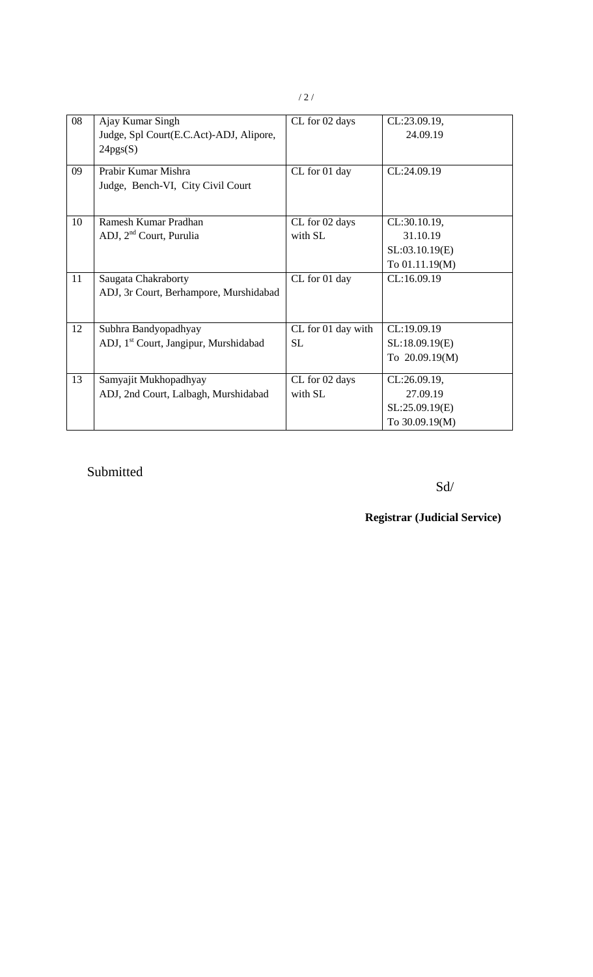| 08 | Ajay Kumar Singh<br>Judge, Spl Court(E.C.Act)-ADJ, Alipore,<br>24pgs(S)   | CL for 02 days                  | CL:23.09.19,<br>24.09.19                                     |
|----|---------------------------------------------------------------------------|---------------------------------|--------------------------------------------------------------|
| 09 | Prabir Kumar Mishra<br>Judge, Bench-VI, City Civil Court                  | CL for 01 day                   | CL:24.09.19                                                  |
| 10 | Ramesh Kumar Pradhan<br>ADJ, 2 <sup>nd</sup> Court, Purulia               | CL for 02 days<br>with SL       | CL:30.10.19,<br>31.10.19<br>SL:03.10.19(E)<br>To 01.11.19(M) |
| 11 | Saugata Chakraborty<br>ADJ, 3r Court, Berhampore, Murshidabad             | CL for 01 day                   | CL:16.09.19                                                  |
| 12 | Subhra Bandyopadhyay<br>ADJ, 1 <sup>st</sup> Court, Jangipur, Murshidabad | CL for 01 day with<br><b>SL</b> | CL:19.09.19<br>SL:18.09.19(E)<br>To 20.09.19(M)              |
| 13 | Samyajit Mukhopadhyay<br>ADJ, 2nd Court, Lalbagh, Murshidabad             | CL for 02 days<br>with SL       | CL:26.09.19,<br>27.09.19<br>SL:25.09.19(E)<br>To 30.09.19(M) |

# Submitted

Sd/

**Registrar (Judicial Service)**